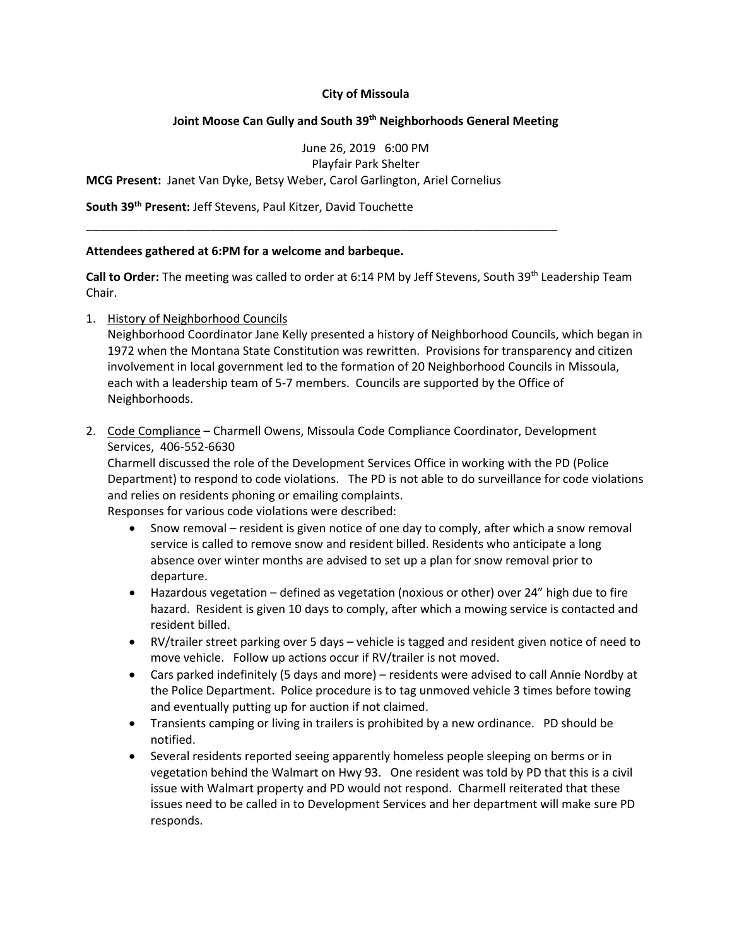### **City of Missoula**

### **Joint Moose Can Gully and South 39th Neighborhoods General Meeting**

June 26, 2019 6:00 PM Playfair Park Shelter **MCG Present:** Janet Van Dyke, Betsy Weber, Carol Garlington, Ariel Cornelius

\_\_\_\_\_\_\_\_\_\_\_\_\_\_\_\_\_\_\_\_\_\_\_\_\_\_\_\_\_\_\_\_\_\_\_\_\_\_\_\_\_\_\_\_\_\_\_\_\_\_\_\_\_\_\_\_\_\_\_\_\_\_\_\_\_\_\_\_\_\_\_\_

**South 39th Present:** Jeff Stevens, Paul Kitzer, David Touchette

#### **Attendees gathered at 6:PM for a welcome and barbeque.**

Call to Order: The meeting was called to order at 6:14 PM by Jeff Stevens, South 39<sup>th</sup> Leadership Team Chair.

1. History of Neighborhood Councils

Neighborhood Coordinator Jane Kelly presented a history of Neighborhood Councils, which began in 1972 when the Montana State Constitution was rewritten. Provisions for transparency and citizen involvement in local government led to the formation of 20 Neighborhood Councils in Missoula, each with a leadership team of 5-7 members. Councils are supported by the Office of Neighborhoods.

2. Code Compliance – Charmell Owens, Missoula Code Compliance Coordinator, Development Services, 406-552-6630

Charmell discussed the role of the Development Services Office in working with the PD (Police Department) to respond to code violations. The PD is not able to do surveillance for code violations and relies on residents phoning or emailing complaints.

Responses for various code violations were described:

- Snow removal resident is given notice of one day to comply, after which a snow removal service is called to remove snow and resident billed. Residents who anticipate a long absence over winter months are advised to set up a plan for snow removal prior to departure.
- Hazardous vegetation defined as vegetation (noxious or other) over 24" high due to fire hazard. Resident is given 10 days to comply, after which a mowing service is contacted and resident billed.
- RV/trailer street parking over 5 days vehicle is tagged and resident given notice of need to move vehicle. Follow up actions occur if RV/trailer is not moved.
- Cars parked indefinitely (5 days and more) residents were advised to call Annie Nordby at the Police Department. Police procedure is to tag unmoved vehicle 3 times before towing and eventually putting up for auction if not claimed.
- Transients camping or living in trailers is prohibited by a new ordinance. PD should be notified.
- Several residents reported seeing apparently homeless people sleeping on berms or in vegetation behind the Walmart on Hwy 93. One resident was told by PD that this is a civil issue with Walmart property and PD would not respond. Charmell reiterated that these issues need to be called in to Development Services and her department will make sure PD responds.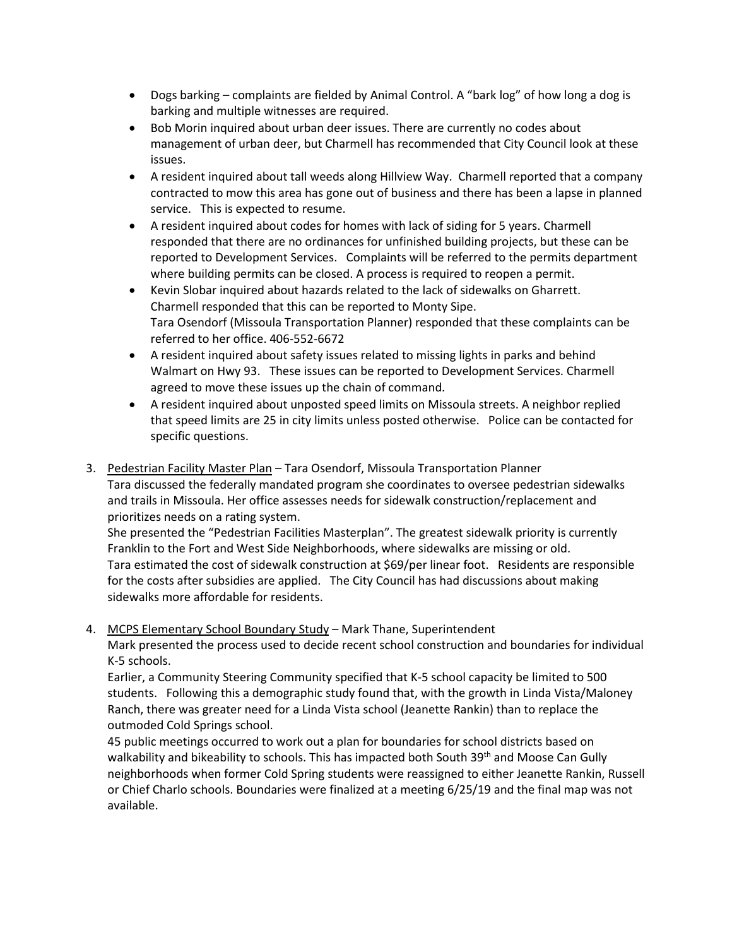- Dogs barking complaints are fielded by Animal Control. A "bark log" of how long a dog is barking and multiple witnesses are required.
- Bob Morin inquired about urban deer issues. There are currently no codes about management of urban deer, but Charmell has recommended that City Council look at these issues.
- A resident inquired about tall weeds along Hillview Way. Charmell reported that a company contracted to mow this area has gone out of business and there has been a lapse in planned service. This is expected to resume.
- A resident inquired about codes for homes with lack of siding for 5 years. Charmell responded that there are no ordinances for unfinished building projects, but these can be reported to Development Services. Complaints will be referred to the permits department where building permits can be closed. A process is required to reopen a permit.
- Kevin Slobar inquired about hazards related to the lack of sidewalks on Gharrett. Charmell responded that this can be reported to Monty Sipe. Tara Osendorf (Missoula Transportation Planner) responded that these complaints can be referred to her office. 406-552-6672
- A resident inquired about safety issues related to missing lights in parks and behind Walmart on Hwy 93. These issues can be reported to Development Services. Charmell agreed to move these issues up the chain of command.
- A resident inquired about unposted speed limits on Missoula streets. A neighbor replied that speed limits are 25 in city limits unless posted otherwise. Police can be contacted for specific questions.
- 3. Pedestrian Facility Master Plan Tara Osendorf, Missoula Transportation Planner Tara discussed the federally mandated program she coordinates to oversee pedestrian sidewalks and trails in Missoula. Her office assesses needs for sidewalk construction/replacement and prioritizes needs on a rating system.

She presented the "Pedestrian Facilities Masterplan". The greatest sidewalk priority is currently Franklin to the Fort and West Side Neighborhoods, where sidewalks are missing or old. Tara estimated the cost of sidewalk construction at \$69/per linear foot. Residents are responsible for the costs after subsidies are applied. The City Council has had discussions about making sidewalks more affordable for residents.

4. MCPS Elementary School Boundary Study – Mark Thane, Superintendent Mark presented the process used to decide recent school construction and boundaries for individual K-5 schools.

Earlier, a Community Steering Community specified that K-5 school capacity be limited to 500 students. Following this a demographic study found that, with the growth in Linda Vista/Maloney Ranch, there was greater need for a Linda Vista school (Jeanette Rankin) than to replace the outmoded Cold Springs school.

45 public meetings occurred to work out a plan for boundaries for school districts based on walkability and bikeability to schools. This has impacted both South 39<sup>th</sup> and Moose Can Gully neighborhoods when former Cold Spring students were reassigned to either Jeanette Rankin, Russell or Chief Charlo schools. Boundaries were finalized at a meeting 6/25/19 and the final map was not available.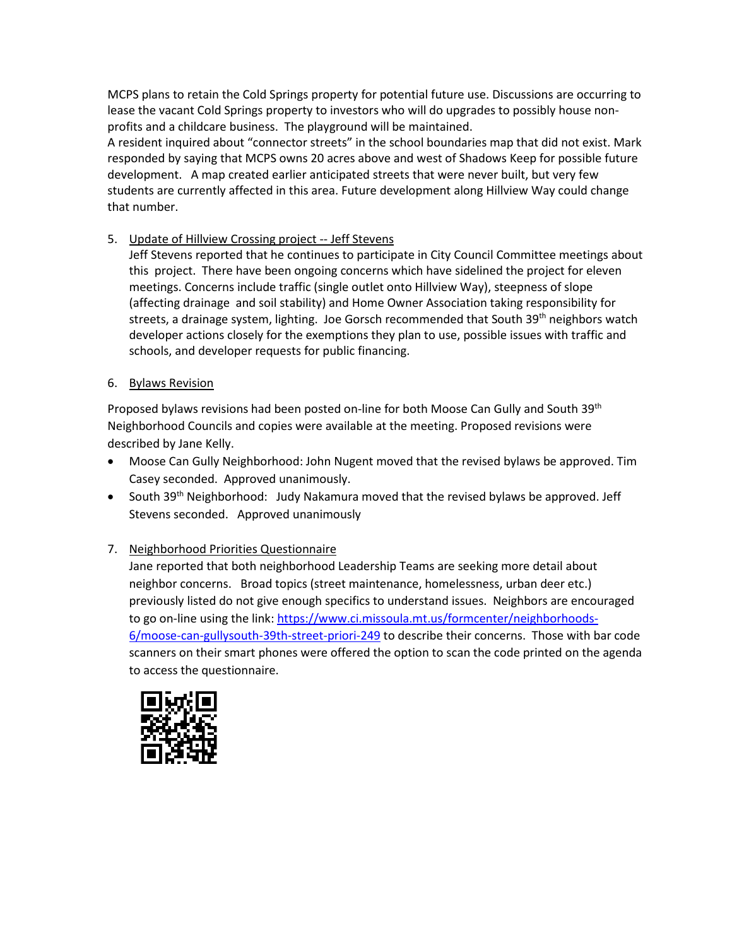MCPS plans to retain the Cold Springs property for potential future use. Discussions are occurring to lease the vacant Cold Springs property to investors who will do upgrades to possibly house nonprofits and a childcare business. The playground will be maintained.

A resident inquired about "connector streets" in the school boundaries map that did not exist. Mark responded by saying that MCPS owns 20 acres above and west of Shadows Keep for possible future development. A map created earlier anticipated streets that were never built, but very few students are currently affected in this area. Future development along Hillview Way could change that number.

# 5. Update of Hillview Crossing project -- Jeff Stevens

Jeff Stevens reported that he continues to participate in City Council Committee meetings about this project. There have been ongoing concerns which have sidelined the project for eleven meetings. Concerns include traffic (single outlet onto Hillview Way), steepness of slope (affecting drainage and soil stability) and Home Owner Association taking responsibility for streets, a drainage system, lighting. Joe Gorsch recommended that South 39<sup>th</sup> neighbors watch developer actions closely for the exemptions they plan to use, possible issues with traffic and schools, and developer requests for public financing.

### 6. Bylaws Revision

Proposed bylaws revisions had been posted on-line for both Moose Can Gully and South 39th Neighborhood Councils and copies were available at the meeting. Proposed revisions were described by Jane Kelly.

- Moose Can Gully Neighborhood: John Nugent moved that the revised bylaws be approved. Tim Casey seconded. Approved unanimously.
- South  $39<sup>th</sup>$  Neighborhood: Judy Nakamura moved that the revised bylaws be approved. Jeff Stevens seconded. Approved unanimously

# 7. Neighborhood Priorities Questionnaire

Jane reported that both neighborhood Leadership Teams are seeking more detail about neighbor concerns. Broad topics (street maintenance, homelessness, urban deer etc.) previously listed do not give enough specifics to understand issues. Neighbors are encouraged to go on-line using the link: [https://www.ci.missoula.mt.us/formcenter/neighborhoods-](https://www.ci.missoula.mt.us/formcenter/neighborhoods-6/moose-can-gullysouth-39th-street-priori-249)[6/moose-can-gullysouth-39th-street-priori-249](https://www.ci.missoula.mt.us/formcenter/neighborhoods-6/moose-can-gullysouth-39th-street-priori-249) to describe their concerns. Those with bar code scanners on their smart phones were offered the option to scan the code printed on the agenda to access the questionnaire.

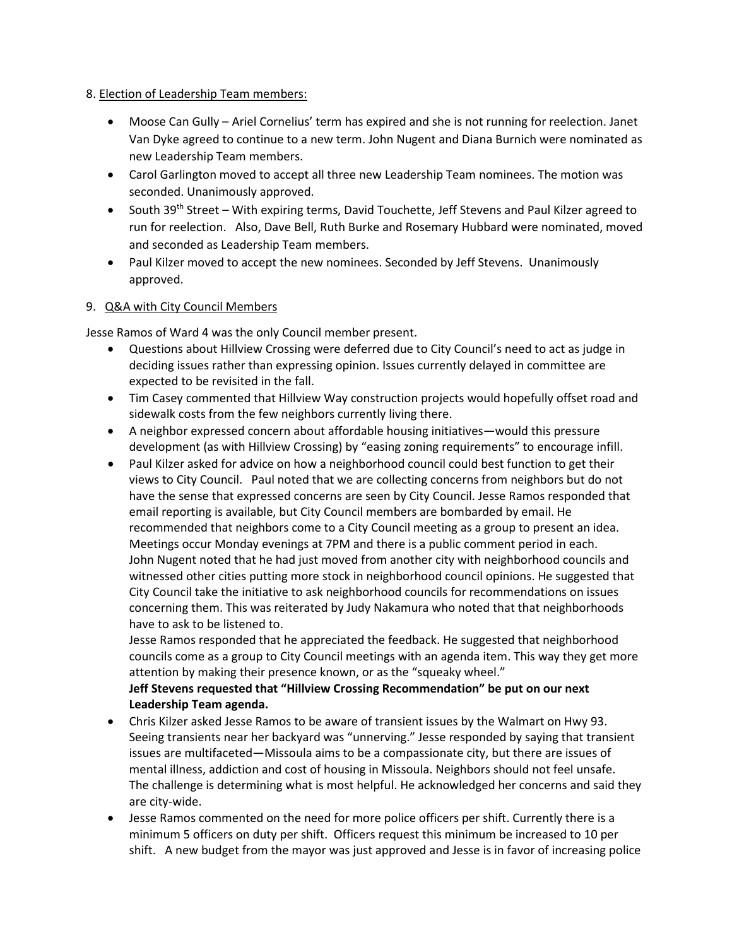### 8. Election of Leadership Team members:

- Moose Can Gully Ariel Cornelius' term has expired and she is not running for reelection. Janet Van Dyke agreed to continue to a new term. John Nugent and Diana Burnich were nominated as new Leadership Team members.
- Carol Garlington moved to accept all three new Leadership Team nominees. The motion was seconded. Unanimously approved.
- South 39<sup>th</sup> Street With expiring terms, David Touchette, Jeff Stevens and Paul Kilzer agreed to run for reelection. Also, Dave Bell, Ruth Burke and Rosemary Hubbard were nominated, moved and seconded as Leadership Team members.
- Paul Kilzer moved to accept the new nominees. Seconded by Jeff Stevens. Unanimously approved.

# 9. Q&A with City Council Members

Jesse Ramos of Ward 4 was the only Council member present.

- Questions about Hillview Crossing were deferred due to City Council's need to act as judge in deciding issues rather than expressing opinion. Issues currently delayed in committee are expected to be revisited in the fall.
- Tim Casey commented that Hillview Way construction projects would hopefully offset road and sidewalk costs from the few neighbors currently living there.
- A neighbor expressed concern about affordable housing initiatives—would this pressure development (as with Hillview Crossing) by "easing zoning requirements" to encourage infill.
- Paul Kilzer asked for advice on how a neighborhood council could best function to get their views to City Council. Paul noted that we are collecting concerns from neighbors but do not have the sense that expressed concerns are seen by City Council. Jesse Ramos responded that email reporting is available, but City Council members are bombarded by email. He recommended that neighbors come to a City Council meeting as a group to present an idea. Meetings occur Monday evenings at 7PM and there is a public comment period in each. John Nugent noted that he had just moved from another city with neighborhood councils and witnessed other cities putting more stock in neighborhood council opinions. He suggested that City Council take the initiative to ask neighborhood councils for recommendations on issues concerning them. This was reiterated by Judy Nakamura who noted that that neighborhoods have to ask to be listened to.

Jesse Ramos responded that he appreciated the feedback. He suggested that neighborhood councils come as a group to City Council meetings with an agenda item. This way they get more attention by making their presence known, or as the "squeaky wheel."

# **Jeff Stevens requested that "Hillview Crossing Recommendation" be put on our next Leadership Team agenda.**

- Chris Kilzer asked Jesse Ramos to be aware of transient issues by the Walmart on Hwy 93. Seeing transients near her backyard was "unnerving." Jesse responded by saying that transient issues are multifaceted—Missoula aims to be a compassionate city, but there are issues of mental illness, addiction and cost of housing in Missoula. Neighbors should not feel unsafe. The challenge is determining what is most helpful. He acknowledged her concerns and said they are city-wide.
- Jesse Ramos commented on the need for more police officers per shift. Currently there is a minimum 5 officers on duty per shift. Officers request this minimum be increased to 10 per shift. A new budget from the mayor was just approved and Jesse is in favor of increasing police